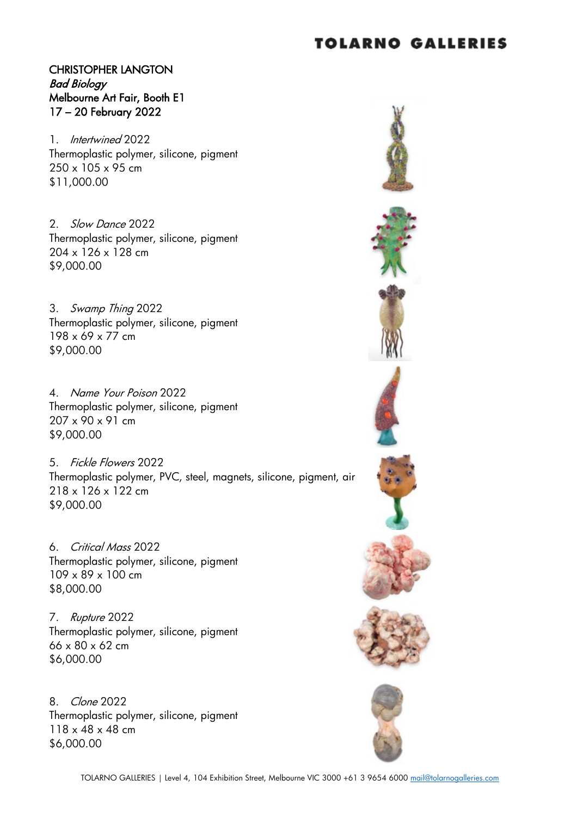#### CHRISTOPHER LANGTON Bad Biology Melbourne Art Fair, Booth E1 17 – 20 February 2022

1. Intertwined 2022 Thermoplastic polymer, silicone, pigment 250 x 105 x 95 cm \$11,000.00

2. Slow Dance 2022 Thermoplastic polymer, silicone, pigment 204 x 126 x 128 cm \$9,000.00

3. Swamp Thing 2022 Thermoplastic polymer, silicone, pigment 198 x 69 x 77 cm \$9,000.00

4. Name Your Poison 2022 Thermoplastic polymer, silicone, pigment 207 x 90 x 91 cm \$9,000.00

5. Fickle Flowers 2022 Thermoplastic polymer, PVC, steel, magnets, silicone, pigment, air 218 x 126 x 122 cm \$9,000.00

6. Critical Mass 2022 Thermoplastic polymer, silicone, pigment 109 x 89 x 100 cm \$8,000.00

7. Rupture 2022 Thermoplastic polymer, silicone, pigment 66 x 80 x 62 cm \$6,000.00

8. Clone 2022 Thermoplastic polymer, silicone, pigment 118 x 48 x 48 cm \$6,000.00

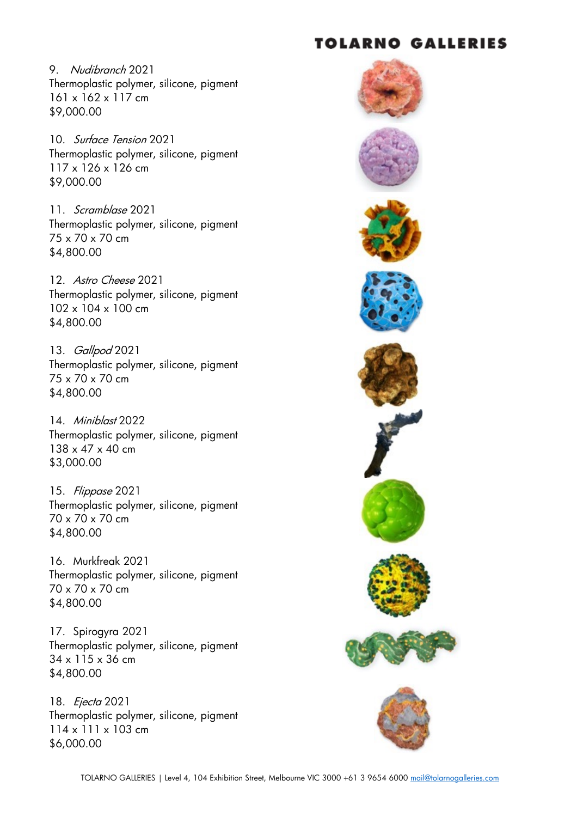9. Nudibranch 2021 Thermoplastic polymer, silicone, pigment 161 x 162 x 117 cm \$9,000.00

10. Surface Tension 2021 Thermoplastic polymer, silicone, pigment 117 x 126 x 126 cm \$9,000.00

11. Scramblase 2021 Thermoplastic polymer, silicone, pigment 75 x 70 x 70 cm \$4,800.00

12. Astro Cheese 2021 Thermoplastic polymer, silicone, pigment 102 x 104 x 100 cm \$4,800.00

13. *Gallpod* 2021 Thermoplastic polymer, silicone, pigment 75 x 70 x 70 cm \$4,800.00

14. Miniblast 2022 Thermoplastic polymer, silicone, pigment 138 x 47 x 40 cm \$3,000.00

15. Flippase 2021 Thermoplastic polymer, silicone, pigment 70 x 70 x 70 cm \$4,800.00

16. Murkfreak 2021 Thermoplastic polymer, silicone, pigment 70 x 70 x 70 cm \$4,800.00

17. Spirogyra 2021 Thermoplastic polymer, silicone, pigment 34 x 115 x 36 cm \$4,800.00

18. *Ejecta* 2021 Thermoplastic polymer, silicone, pigment 114 x 111 x 103 cm \$6,000.00

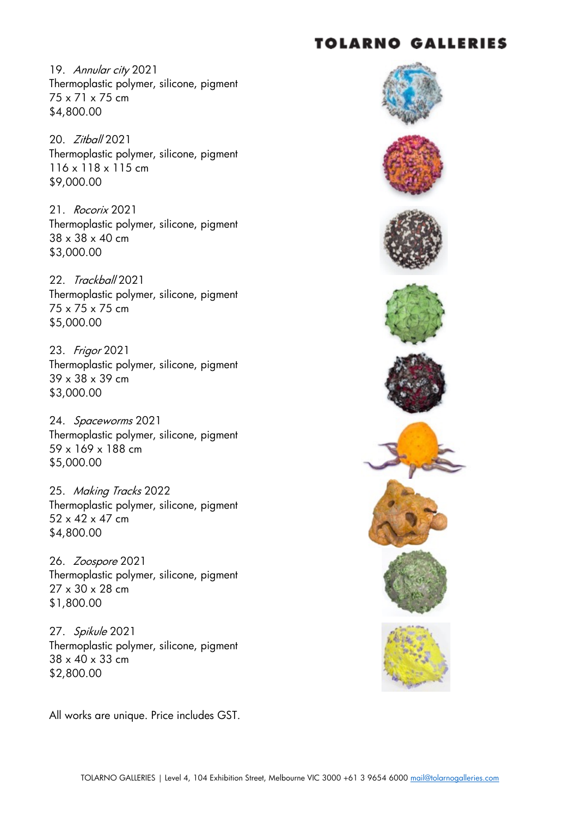19. Annular city 2021 Thermoplastic polymer, silicone, pigment 75 x 71 x 75 cm \$4,800.00

20. Zitball 2021 Thermoplastic polymer, silicone, pigment 116 x 118 x 115 cm \$9,000.00

21. Rocorix 2021 Thermoplastic polymer, silicone, pigment 38 x 38 x 40 cm \$3,000.00

22. Trackball 2021 Thermoplastic polymer, silicone, pigment 75 x 75 x 75 cm \$5,000.00

23. Frigor 2021 Thermoplastic polymer, silicone, pigment 39 x 38 x 39 cm \$3,000.00

24. Spaceworms 2021 Thermoplastic polymer, silicone, pigment 59 x 169 x 188 cm \$5,000.00

25. Making Tracks 2022 Thermoplastic polymer, silicone, pigment 52 x 42 x 47 cm \$4,800.00

26. Zoospore 2021 Thermoplastic polymer, silicone, pigment 27 x 30 x 28 cm \$1,800.00

27. Spikule 2021 Thermoplastic polymer, silicone, pigment 38 x 40 x 33 cm \$2,800.00

All works are unique. Price includes GST.

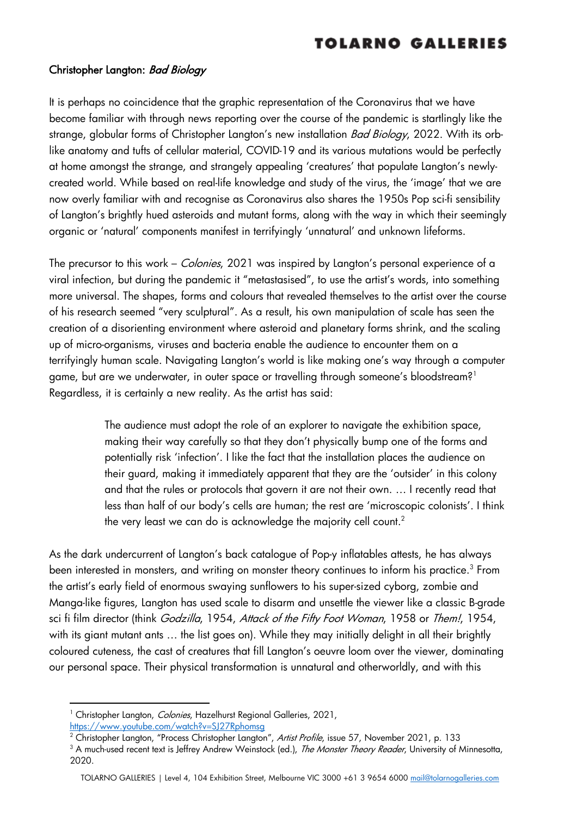#### Christopher Langton: Bad Biology

It is perhaps no coincidence that the graphic representation of the Coronavirus that we have become familiar with through news reporting over the course of the pandemic is startlingly like the strange, globular forms of Christopher Langton's new installation *Bad Biology*, 2022. With its orblike anatomy and tufts of cellular material, COVID-19 and its various mutations would be perfectly at home amongst the strange, and strangely appealing 'creatures' that populate Langton's newlycreated world. While based on real-life knowledge and study of the virus, the 'image' that we are now overly familiar with and recognise as Coronavirus also shares the 1950s Pop sci-fi sensibility of Langton's brightly hued asteroids and mutant forms, along with the way in which their seemingly organic or 'natural' components manifest in terrifyingly 'unnatural' and unknown lifeforms.

The precursor to this work – *Colonies*, 2021 was inspired by Langton's personal experience of a viral infection, but during the pandemic it "metastasised", to use the artist's words, into something more universal. The shapes, forms and colours that revealed themselves to the artist over the course of his research seemed "very sculptural". As a result, his own manipulation of scale has seen the creation of a disorienting environment where asteroid and planetary forms shrink, and the scaling up of micro-organisms, viruses and bacteria enable the audience to encounter them on a terrifyingly human scale. Navigating Langton's world is like making one's way through a computer game, but are we underwater, in outer space or travelling through someone's bloodstream?<sup>1</sup> Regardless, it is certainly a new reality. As the artist has said:

> The audience must adopt the role of an explorer to navigate the exhibition space, making their way carefully so that they don't physically bump one of the forms and potentially risk 'infection'. I like the fact that the installation places the audience on their guard, making it immediately apparent that they are the 'outsider' in this colony and that the rules or protocols that govern it are not their own. … I recently read that less than half of our body's cells are human; the rest are 'microscopic colonists'. I think the very least we can do is acknowledge the majority cell count.<sup>2</sup>

As the dark undercurrent of Langton's back catalogue of Pop-y inflatables attests, he has always been interested in monsters, and writing on monster theory continues to inform his practice.<sup>3</sup> From the artist's early field of enormous swaying sunflowers to his super-sized cyborg, zombie and Manga-like figures, Langton has used scale to disarm and unsettle the viewer like a classic B-grade sci fi film director (think *Godzilla, 1954, Attack of the Fifty Foot Woman*, 1958 or *Them!*, 1954, with its giant mutant ants ... the list goes on). While they may initially delight in all their brightly coloured cuteness, the cast of creatures that fill Langton's oeuvre loom over the viewer, dominating our personal space. Their physical transformation is unnatural and otherworldly, and with this

<sup>&</sup>lt;sup>1</sup> Christopher Langton, *Colonies*, Hazelhurst Regional Galleries, 2021,

https://www.youtube.com/watch?v=SJ27Rphomsg

<sup>&</sup>lt;sup>2</sup> Christopher Langton, "Process Christopher Langton", Artist Profile, issue 57, November 2021, p. 133

<sup>&</sup>lt;sup>3</sup> A much-used recent text is Jeffrey Andrew Weinstock (ed.), The Monster Theory Reader, University of Minnesotta, 2020.